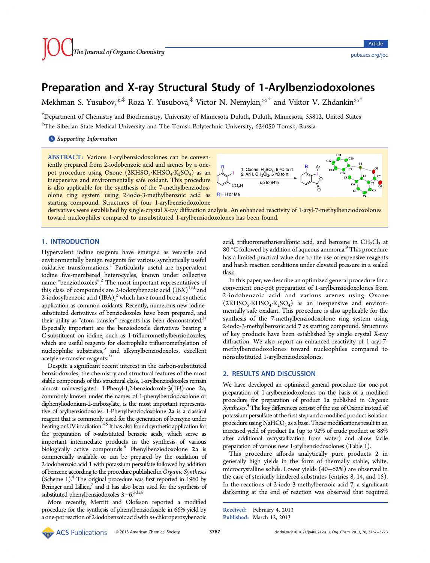# Preparation and X‑ray Structural Study of 1‑Arylbenziodoxolones

Mekhman S. Yusubov, $*$ , $\ddagger$  Roza Y. Yusubova, $\ddagger$  Victor N. Nemykin, $*$ , $\ddagger$  and Viktor V. Zhdankin $*$ , $\ddagger$ 

† Department of Chemistry and Biochemistry, University of Minnesota Duluth, Duluth, Minnesota, 55812, United States ‡ The Siberian State Medical University and The Tomsk Polytechnic University, 634050 Tomsk, Russia

**S** [Supporting Information](#page-5-0)

ABSTRACT: Various 1-arylbenziodoxolones can be conveniently prepared from 2-iodobenzoic acid and arenes by a onepot procedure using Oxone  $(2KHSO<sub>5</sub>·KHSO<sub>4</sub>·K<sub>2</sub>SO<sub>4</sub>)$  as an inexpensive and environmentally safe oxidant. This procedure is also applicable for the synthesis of the 7-methylbenziodoxolone ring system using 2-iodo-3-methylbenzoic acid as starting compound. Structures of four 1-arylbenziodoxolone



derivatives were established by single-crystal X-ray diffraction analysis. An enhanced reactivity of 1-aryl-7-methylbenziodoxolones toward nucleophiles compared to unsubstituted 1-arylbenziodoxolones has been found.

#### 1. INTRODUCTION

Hypervalent iodine reagents have emerged as versatile and environmentally benign reagents for various synthetically useful oxidative transformations.<sup>[1](#page-5-0)</sup> Particularly useful are hypervalent iodine five-membered heterocycles, known under collective name "benziodoxoles". [2](#page-5-0) The most important representatives of this class of compounds are 2-iodoxybenzoic acid  $(IBX)^{1k,l}$  $(IBX)^{1k,l}$  $(IBX)^{1k,l}$  and [2](#page-5-0)-iodosylbenzoic acid  $(IBA)<sup>2</sup>$  which have found broad synthetic application as common oxidants. Recently, numerous new iodinesubstituted derivatives of benziodoxoles have been prepared, and their utility as "atom transfer" reagents has been demonstrated. $^{2a}$ Especially important are the benziodoxole derivatives bearing a C-substituent on iodine, such as 1-trifluoromethylbenziodoxoles, which are useful reagents for electrophilic trifluoromethylation of  $nucleophilic$  substrates, $3$  and alkynylbenziodoxoles, excellent acetylene-transfer reagents.<sup>2a</sup>

Despite a significant recent interest in the carbon-substituted benziodoxoles, the chemistry and structural features of the most stable compounds of this structural class, 1-arylbenziodoxoles remain almost uninvestigated. 1-Phenyl-1,2-benziodoxole-3(1H)-one 2a, commonly known under the names of 1-phenylbenziodoxolone or diphenyliodonium-2-carboxylate, is the most important representative of arylbenziodoxoles. 1-Phenylbenziodoxolone 2a is a classical reagent that is commonly used for the generation of benzyne under heating or UV irradiation.<sup>4,[5](#page-5-0)</sup> It has also found synthetic application for the preparation of o-substituted benzoic acids, which serve as important intermediate products in the synthesis of various biologically active compounds.<sup>6</sup> Phenylbenziodoxolone 2a is commercially available or can be prepared by the oxidation of 2-iodobenzoic acid 1 with potassium persulfate followed by addition of benzene according to the procedure published in Organic Syntheses (Scheme [1](#page-1-0)).<sup>4</sup> The original procedure was first reported in 1960 by Beringer and Lillien,<sup>7</sup> and it has also been used for the synthesis of substituted phenylbenziodoxoles 3−6. [5d](#page-5-0),[e](#page-5-0)[,8](#page-6-0)

More recently, Merritt and Olofsson reported a modified procedure for the synthesis of phenylbenziodoxole in 66% yield by a one-pot reaction of 2-iodobenzoic acid with  $m$ -chloroperoxybenzoic

acid, trifluoromethanesulfonic acid, and benzene in CH<sub>2</sub>Cl<sub>2</sub> at 80  $\degree$ C followed by addition of aqueous ammonia. $\degree$  This procedure has a limited practical value due to the use of expensive reagents and harsh reaction conditions under elevated pressure in a sealed flask.

In this paper, we describe an optimized general procedure for a convenient one-pot preparation of 1-arylbenziodoxolones from 2-iodobenzoic acid and various arenes using Oxone  $(2KHSO<sub>5</sub>·KHSO<sub>4</sub>·K<sub>2</sub>SO<sub>4</sub>)$  as an inexpensive and environmentally safe oxidant. This procedure is also applicable for the synthesis of the 7-methylbenziodoxolone ring system using 2-iodo-3-methylbenzoic acid 7 as starting compound. Structures of key products have been established by single crystal X-ray diffraction. We also report an enhanced reactivity of 1-aryl-7 methylbenziodoxolones toward nucleophiles compared to nonsubstituted 1-arylbenziodoxolones.

### 2. RESULTS AND DISCUSSION

We have developed an optimized general procedure for one-pot preparation of 1-arylbenziodoxolones on the basis of a modified procedure for preparation of product 1a published in Organic Syntheses.<sup>[4](#page-5-0)</sup> The key differences consist of the use of Oxone instead of potassium persulfate at the first step and a modified product isolation procedure using  $NAHCO<sub>3</sub>$  as a base. These modifications result in an increased yield of product 1a (up to 92% of crude product or 88% after additional recrystallization from water) and allow facile preparation of various new 1-arylbenziodoxolones (Table [1](#page-2-0)).

This procedure affords analytically pure products 2 in generally high yields in the form of thermally stable, white, microcrystalline solids. Lower yields (40−62%) are observed in the case of sterically hindered substrates (entries 8, 14, and 15). In the reactions of 2-iodo-3-methylbenzoic acid 7, a significant darkening at the end of reaction was observed that required

Received: February 4, 2013 Published: March 12, 2013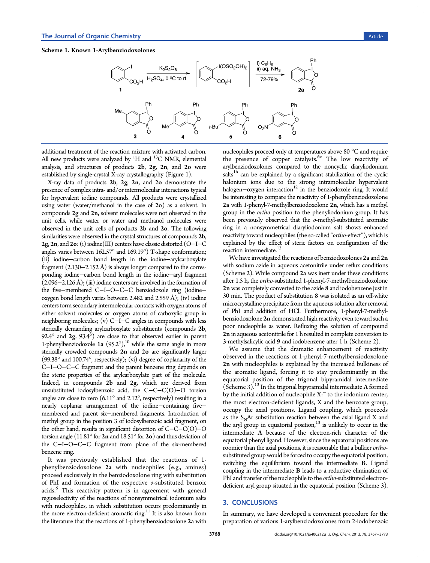#### <span id="page-1-0"></span>Scheme 1. Known 1-Arylbenziodoxolones



additional treatment of the reaction mixture with activated carbon. All new products were analyzed by  $^1\mathrm{H}$  and  $^{13}\mathrm{C}$  NMR, elemental analysis, and structures of products 2b, 2g, 2n, and 2o were established by single-crystal X-ray crystallography (Figure [1](#page-3-0)).

X-ray data of products 2b, 2g, 2n, and 2o demonstrate the presence of complex intra- and/or intermolecular interactions typical for hypervalent iodine compounds. All products were crystallized using water (water/methanol in the case of  $2\sigma$ ) as a solvent. In compounds 2g and 2n, solvent molecules were not observed in the unit cells, while water or water and methanol molecules were observed in the unit cells of products 2b and 2o. The following similarities were observed in the crystal structures of compounds 2b, 2g, 2n, and 2o: (i) iodine(III) centers have classic distorted (O−I−C angles varies between 162.57° and 169.19°) T-shape conformation; (ii) iodine−carbon bond length in the iodine−arylcarboxylate fragment (2.130−2.152 Å) is always longer compared to the corresponding iodine−carbon bond length in the iodine−aryl fragment  $(2.096-2.126 \text{ Å})$ ; (iii) iodine centers are involved in the formation of the five−membered C−I−O−C−C benziodoxole ring (iodine− oxygen bond length varies between 2.482 and 2.559 Å); (iv) iodine centers form secondary intermolecular contacts with oxygen atoms of either solvent molecules or oxygen atoms of carboxylic group in neighboring molecules; (v) C−I−C angles in compounds with less sterically demanding arylcarboxylate substituents (compounds 2b, 92.4° and 2g, 93.4°) are close to that observed earlier in parent 1-phenylbenziodoxole 1a  $(95.2^{\circ})$ ,<sup>[10](#page-6-0)</sup> while the same angle in more sterically crowded compounds 2n and 2o are significantly larger (99.38° and 100.74°, respectively); (vi) degree of coplanarity of the C−I−O−C−C fragment and the parent benzene ring depends on the steric properties of the arylcarboxylate part of the molecule. Indeed, in compounds 2b and 2g, which are derived from unsubstituted iodosylbenzoic acid, the C−C−C(O)−O torsion angles are close to zero  $(6.11^{\circ}$  and  $2.12^{\circ}$ , respectively) resulting in a nearly coplanar arrangement of the iodine−containing five− membered and parent six−membered fragments. Introduction of methyl group in the position 3 of iodosylbenzoic acid fragment, on the other hand, results in significant distortion of C−C−C(O)−O torsion angle (11.81 $\degree$  for 2n and 18.51 $\degree$  for 2o) and thus deviation of the C−I−O−C−C fragment from plane of the six-membered benzene ring.

It was previously established that the reactions of 1 phenylbenziodoxolone 2a with nucleophiles (e.g., amines) proceed exclusively in the benziodoxolone ring with substitution of PhI and formation of the respective o-substituted benzoic acids.<sup>[6](#page-5-0)</sup> This reactivity pattern is in agreement with general regioselectivity of the reactions of nonsymmetrical iodonium salts with nucleophiles, in which substitution occurs predominantly in the more electron-deficient aromatic ring.<sup>11</sup> It is also known from the literature that the reactions of 1-phenylbenziodoxolone 2a with

nucleophiles proceed only at temperatures above 80 °C and require the presence of copper catalysts.<sup>[6c](#page-5-0)</sup> The low reactivity of arylbenziodoxolones compared to the noncyclic diaryliodonium salts<sup>[1h](#page-5-0)</sup> can be explained by a significant stabilization of the cyclic halonium ions due to the strong intramolecular hypervalent halogen-oxygen interaction<sup>[12](#page-6-0)</sup> in the benziodoxole ring. It would be interesting to compare the reactivity of 1-phenylbenziodoxolone 2a with 1-phenyl-7-methylbenziodoxolone 2n, which has a methyl group in the ortho position to the phenyliodonium group. It has been previously observed that the o-methyl-substituted aromatic ring in a nonsymmetrical diaryliodonium salt shows enhanced reactivity toward nucleophiles (the so-called "ortho-effect"), which is explained by the effect of steric factors on configuration of the reaction intermediate.<sup>13</sup>

We have investigated the reactions of benziodoxolones 2a and 2n with sodium azide in aqueous acetonitrile under reflux conditions (Scheme [2](#page-3-0)). While compound 2a was inert under these conditions after 1.5 h, the ortho-substituted 1-phenyl-7-methylbenziodoxolone 2n was completely converted to the azide 8 and iodobenzene just in 30 min. The product of substitution 8 was isolated as an off-white microcrystalline precipitate from the aqueous solution after removal of PhI and addition of HCl. Furthermore, 1-phenyl-7-methylbenziodoxolone 2n demonstrated high reactivity even toward such a poor nucleophile as water. Refluxing the solution of compound 2n in aqueous acetonitrile for 1 h resulted in complete conversion to 3-methylsalicylic acid 9 and iodobenzene after 1 h (Scheme [2](#page-3-0)).

We assume that the dramatic enhancement of reactivity observed in the reactions of 1-phenyl-7-methylbenziodoxolone 2n with nucleophiles is explained by the increased bulkiness of the aromatic ligand, forcing it to stay predominantly in the equatorial position of the trigonal bipyramidal intermediate (Scheme [3](#page-3-0)). $^{13}$  $^{13}$  $^{13}$  In the trigonal bipyramidal intermediate A formed by the initial addition of nucleophile X:<sup>−</sup> to the iodonium center, the most electron-deficient ligands, X and the benzoate group, occupy the axial positions. Ligand coupling, which proceeds as the  $S<sub>N</sub>$ Ar substitution reaction between the axial ligand X and the aryl group in equatorial position, $13$  is unlikely to occur in the intermediate A because of the electron-rich character of the equatorial phenyl ligand. However, since the equatorial positions are roomier than the axial positions, it is reasonable that a bulkier orthosubstituted group would be forced to occupy the equatorial position, switching the equilibrium toward the intermediate B. Ligand coupling in the intermediate B leads to a reductive elimination of PhI and transfer of the nucleophile to the ortho-substituted electrondeficient aryl group situated in the equatorial position (Scheme [3\)](#page-3-0).

#### 3. CONCLUSIONS

In summary, we have developed a convenient procedure for the preparation of various 1-arylbenziodoxolones from 2-iodobenzoic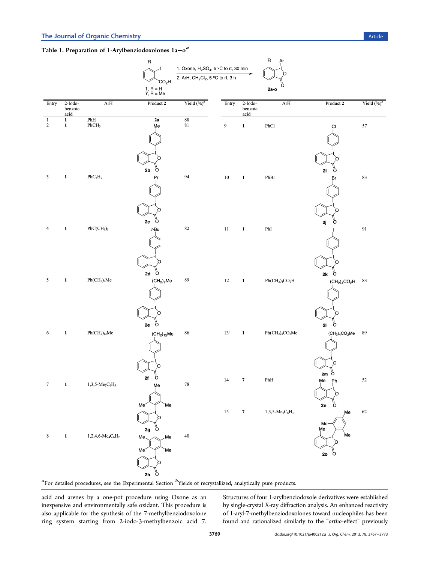## <span id="page-2-0"></span>Table 1. Preparation of 1-Arylbenziodoxolones  $1a-<sup>a</sup>$

|                            |                               |                                                              | Ŗ                                                    | 1. Oxone, $H_2SO_4$ , 5 °C to rt, 30 min                  |                  |                              | R<br><b>Ar</b>     |                                                                         |                |
|----------------------------|-------------------------------|--------------------------------------------------------------|------------------------------------------------------|-----------------------------------------------------------|------------------|------------------------------|--------------------|-------------------------------------------------------------------------|----------------|
|                            |                               |                                                              | CO <sub>2</sub> H                                    | 2. ArH, CH <sub>2</sub> Cl <sub>2</sub> , 5 °C to rt, 3 h |                  |                              | 0                  |                                                                         |                |
|                            |                               |                                                              | 1, $R = H$<br>7, $R = Me$                            |                                                           |                  |                              | O<br>2a-o          |                                                                         |                |
| Entry                      | $2$ -Iodo-<br>benzoic<br>acid | ArH                                                          | Product 2                                            | Yield $(\%)^b$                                            | Entry            | $2-Iodo-$<br>benzoic<br>acid | $\rm ArH$          | Product 2                                                               | Yield $(\%)^b$ |
| $\mathbf{1}$<br>$\sqrt{2}$ | $\mathbf{1}$<br>$\mathbf{1}$  | $\overline{\text{PhH}}_{\text{PhCH}_3}$                      | 2a<br>Me                                             | $\overline{\begin{array}{c} 88 \\ 81 \end{array}}$        | $\boldsymbol{9}$ | $\mathbf{1}$                 | PhCl               | CI                                                                      | 57             |
| 3                          | $\mathbf{1}$                  | $\mathrm{PhC_3H_7}$                                          | Ω<br>2 <sub>b</sub><br>o<br>Pr                       | 94                                                        | $10\,$           | $\mathbf{1}$                 | ${\bf PhBr}$       | 2i<br>o<br>Br                                                           | 83             |
| 4                          | $\mathbf{1}$                  | $PhC(CH_3)_3$                                                | 2c<br>$\circ$<br>$t$ -Bu                             | $82\,$                                                    | $11\,$           | $\mathbf{1}$                 | $_{\rm PhI}$       | 2j<br>o                                                                 | 91             |
| 5                          | $\mathbf 1$                   | $\rm{Ph}(\rm{CH}_2)_7\rm{Me}$                                | $\sigma$<br>2d<br>(CH <sub>2</sub> ) <sub>7</sub> Me | 89                                                        | $12\,$           | $\mathbf{1}$                 | $Ph(CH2)4CO2H$     | $\sigma$<br>$2\mathsf{k}$<br>$(\mathrm{CH}_2)_4\mathrm{CO}_2\mathrm{H}$ | 83             |
| 6                          | $\mathbf{1}$                  | Ph(CH <sub>2</sub> ) <sub>12</sub> Me                        | Ö<br>2e<br>(CH <sub>2</sub> ) <sub>12</sub> Me       | 86                                                        | 13 <sup>c</sup>  | $\mathbf 1$                  | $Ph(CH2)4CO2Me$    | Ö<br>21<br>$(\text{CH}_2)_4\text{CO}_2\text{Me}$                        | 89             |
| $\tau$                     | $\mathbf{1}$                  | $1,3,5-Me_3C_6H_3$                                           | ő<br>2f<br>Me                                        | $78\,$                                                    | $14\,$           | $\pmb{7}$                    | ${\bf PhH}$        | O<br>$2m \n\begin{bmatrix} 1 \\ 0 \end{bmatrix}$<br>Мe<br>Ph            | $52\,$         |
| $\,8\,$                    | $\mathbf 1$                   | $1,\!2,\!4,\!6\text{-}\mathrm{Me}_4\mathrm{C}_6\mathrm{H}_2$ | Me'<br>Me<br>2g<br>o<br>Me.<br>Me.<br>Me<br>Me<br>O  | 40                                                        | $15\,$           | $\boldsymbol{7}$             | $1,3,5-Me_3C_6H_3$ | 2n<br>o<br>Me<br>Me<br>Me<br>Me<br>n<br>o<br>20                         | 62             |
|                            |                               |                                                              | Ö<br>$2\mathsf{h}$                                   |                                                           |                  |                              |                    |                                                                         |                |

 ${}^a$ For detailed procedures, see the [Experimental Section](#page-3-0)  ${}^b$ Yields of recrystallized, analytically pure products.

acid and arenes by a one-pot procedure using Oxone as an inexpensive and environmentally safe oxidant. This procedure is also applicable for the synthesis of the 7-methylbenziodoxolone ring system starting from 2-iodo-3-methylbenzoic acid 7. Structures of four 1-arylbenziodoxole derivatives were established by single-crystal X-ray diffraction analysis. An enhanced reactivity of 1-aryl-7-methylbenziodoxolones toward nucleophiles has been found and rationalized similarly to the "ortho-effect" previously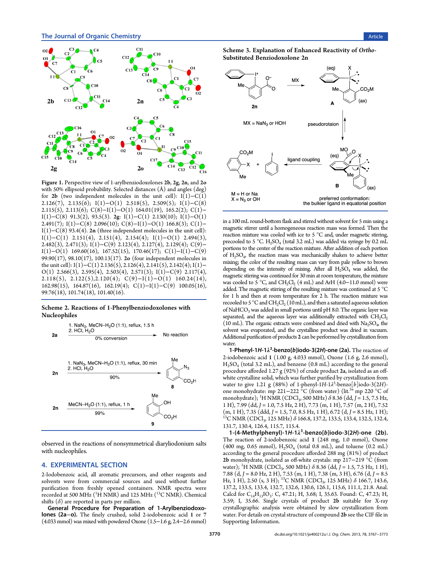

<span id="page-3-0"></span>

Figure 1. Perspective view of 1-arylbenziodoxolones 2b, 2g, 2n, and 2o with 50% ellipsoid probability. Selected distances (Å) and angles (deg) for 2b (two independent molecules in the unit cell):  $I(1)-C(1)$ 2.126(7), 2.135(6); I(1)−O(1) 2.518(5), 2.509(5); I(1)−C(8) 2.115(5), 2.113(6); C(8)−I(1)−O(1) 164.01(19), 165.2(2); C(1)− I(1)−C(8) 91.3(2), 93.5(3). 2g: I(1)−C(1) 2.130(10); I(1)−O(1) 2.491(7); I(1)−C(8) 2.096(10); C(8)−I(1)−O(1) 166.8(3); C(1)− I(1)−C(8) 93.4(4). 2n (three independent molecules in the unit cell):  $I(1)$ −C(1) 2.151(4), 2.151(4), 2.154(4); I(1)−O(1) 2.494(3), 2.482(3), 2.471(3); I(1)−C(9) 2.123(4), 2.127(4), 2.129(4); C(9)− I(1)−O(1) 169.60(16), 167.52(15), 170.46(17); C(1)−I(1)−C(9) 99.90(17), 98.10(17), 100.13(17). 2o (four independent molecules in the unit cell): I(1)−C(1) 2.136(5), 2.126(4), 2.141(5), 2.142(4); I(1)− O(1) 2.566(3), 2.595(4), 2.503(4), 2.571(3); I(1)–C(9) 2.117(4), 2.118(5), 2.122(5),2.120(4); C(9)−I(1)−O(1) 160.24(14), 162.98(15), 164.87(16), 162.19(4); C(1)−I(1)−C(9) 100.05(16), 99.76(18), 101.74(18), 101.40(16).

#### Scheme 2. Reactions of 1-Phenylbenziodoxolones with Nucleophiles



observed in the reactions of nonsymmetrical diaryliodonium salts with nucleophiles.

#### 4. EXPERIMENTAL SECTION

2-Iodobenzoic acid, all aromatic precursors, and other reagents and solvents were from commercial sources and used without further purification from freshly opened containers. NMR spectra were recorded at 500 MHz ( $^1\rm H$  NMR) and 125 MHz ( $^{13}\rm C$  NMR). Chemical shifts  $(\delta)$  are reported in parts per million.

General Procedure for Preparation of 1-Arylbenziodoxolones (2a−o). The finely crushed, solid 2-iodobenzoic acid 1 or 7 (4.033 mmol) was mixed with powdered Oxone (1.5−1.6 g, 2.4−2.6 mmol)





in a 100 mL round-bottom flask and stirred without solvent for 5 min using a magnetic stirrer until a homogeneous reaction mass was formed. Then the reaction mixture was cooled with ice to 5 °C and, under magnetic stirring, precooled to 5 °C.  $H_2SO_4$  (total 3.2 mL) was added via syringe by 0.2 mL portions to the center of the reaction mixture. After addition of each portion of  $H_2SO_4$ , the reaction mass was mechanically shaken to achieve better mixing; the color of the resulting mass can vary from pale yellow to brown depending on the intensity of mixing. After all  $H_2SO_4$  was added, the magnetic stirring was continued for 30 min at room temperature, the mixture was cooled to 5 °C, and CH<sub>2</sub>Cl<sub>2</sub> (4 mL) and ArH (4.0–11.0 mmol) were added. The magnetic stirring of the resulting mixture was continued at 5 °C for 1 h and then at room temperature for 2 h. The reaction mixture was recooled to 5 °C and  $CH_2Cl_2$  (10 mL), and then a saturated aqueous solution of NaHCO<sub>3</sub> was added in small portions until pH 8.0. The organic layer was separated, and the aqueous layer was additionally extracted with  $CH_2Cl_2$ (10 mL). The organic extracts were combined and dried with  $\text{Na}_2\text{SO}_4$ , the solvent was evaporated, and the crystalline product was dried in vacuum. Additional purification of products 2 can be performed by crystallization from water.

1-Phenyl-1H-1 $\lambda^3$ -benzo[b]iodo-3(2H)-one (2a). The reaction of 2-iodobenzoic acid 1 (1.00 g, 4.033 mmol), Oxone (1.6 g, 2.6 mmol),  $H<sub>2</sub>SO<sub>4</sub>$  (total 3.2 mL), and benzene (0.8 mL) according to the general procedure afforded 1.27 g (92%) of crude product 2a, isolated as an offwhite crystalline solid, which was further purified by crystallization from water to give 1.21 g (88%) of 1-phenyl-1H-1 $\lambda^3$ -benzo[b]iodo-3(2H)-one monohydrate: mp 221−222 °C (from water) (lit.<sup>[5a](#page-5-0)</sup> mp 220 °C of monohydrate); <sup>1</sup>H NMR (CDCl<sub>3</sub>, 500 MHz)  $\delta$  8.36 (dd, J = 1.5, 7.5 Hz, 1 H), 7.99 (dd, J = 1.0, 7.5 Hz, 2 H), 7.73 (m, 1 H), 7.57 (m, 2 H), 7.52 (m, 1 H), 7.35 (ddd, J = 1.5, 7.0, 8.5 Hz, 1 H), 6.72 (d, J = 8.5 Hz, 1 H); <sup>13</sup>C NMR (CDCl<sub>3</sub>, 125 MHz)  $\delta$  166.8, 137.2, 133.5, 133.4, 132.5, 132.4, 131.7, 130.4, 126.4, 115.7, 115.4.

1-(4-Methylphenyl)-1H-1 $\lambda^3$ -benzo[b]iodo-3(2H)-one (2b). The reaction of 2-iodobenzoic acid 1 (248 mg, 1.0 mmol), Oxone  $(400 \text{ mg}, 0.65 \text{ mmol})$ ,  $H_2SO_4$  (total 0.8 mL), and toluene  $(0.2 \text{ mL})$ according to the general procedure afforded 288 mg (81%) of product 2b monohydrate, isolated as off-white crystals: mp 217−219 °C (from water); <sup>1</sup>H NMR (CDCl<sub>3</sub>, 500 MHz)  $\delta$  8.36 (dd, J = 1.5, 7.5 Hz, 1 H), 7.88 (d, J = 8.0 Hz, 2 H), 7.53 (m, 1 H), 7.38 (m, 3 H), 6.76 (d, J = 8.5 Hz, 1 H), 2.50 (s, 3 H); <sup>13</sup>C NMR (CDCl<sub>3</sub>, 125 MHz)  $\delta$  166.7, 143.6, 137.2, 133.5, 133.4, 132.7, 132.6, 130.6, 126.1, 115.6, 111.1, 21.8. Anal. Calcd for C<sub>14</sub>H<sub>13</sub>IO<sub>3</sub>: C, 47.21; H, 3.68; I, 35.63. Found: C, 47.23; H, 3.59; I, 35.66. Single crystals of product 2b suitable for X-ray crystallographic analysis were obtained by slow crystallization from water. For details on crystal structure of compound 2b see the CIF file in [Supporting Information.](#page-5-0)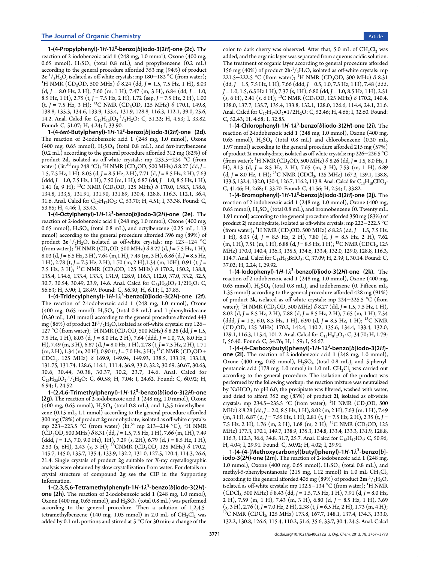1-(4-Propylphenyl)-1H-1 $\lambda^3$ -benzo[b]iodo-3(2H)-one (2c). The reaction of 2-iodobenzoic acid 1 (248 mg, 1.0 mmol), Oxone (400 mg, 0.65 mmol),  $H_2SO_4$  (total 0.8 mL), and propylbenzene (0.2 mL) according to the general procedure afforded 353 mg (94%) of product 2c·<sup>1</sup>/<sub>2</sub>H<sub>2</sub>O, isolated as off-white crystals: mp 180–182 °C (from water);<br><sup>1</sup>H NMR (CD-OD-500 MHz) δ 8 24 (dd I = 1.5 . 7.5 Hz 1. H) 8.03 <sup>1</sup>H NMR (CD<sub>3</sub>OD, 500 MHz)  $\delta$  8.24 (dd, J = 1.5, 7.5 Hz, 1 H), 8.03  $(d, J = 8.0$  Hz, 2 H), 7.60 (m, 1 H), 7.47 (m, 3 H), 6.84 (dd,  $J = 1.0$ , 8.5 Hz, 1 H), 2.75 (t, J = 7.5 Hz, 2 H), 1.72 (sep, J = 7.5 Hz, 2 H), 1.00  $(t, J = 7.5 \text{ Hz}, 3 \text{ H})$ ; <sup>13</sup>C NMR (CD<sub>3</sub>OD, 125 MHz)  $\delta$  170.1, 149.8, 138.8, 135.3, 134.6, 133.9, 133.4, 131.9, 128.8, 116.3, 112.1, 39.0, 25.6, 14.2. Anal. Calcd for  $C_{16}H_{15}IO_2$ <sup>1</sup>/<sub>2</sub>H<sub>2</sub>O: C, 51.22; H, 4.53; I, 33.82. Found: C, 51.07; H, 4.24; I, 33.90.

1-(4-tert-Butylphenyl)-1H-1λ<sup>3</sup>-benzo[b]iodo-3(2H)-one (2d). The reaction of 2-iodobenzoic acid 1 (248 mg, 1.0 mmol), Oxone (400 mg, 0.65 mmol),  $H_2SO_4$  (total 0.8 mL), and tert-butylbenzene (0.2 mL) according to the general procedure afforded 312 mg (82%) of product 2d, isolated as off-white crystals: mp 233.5−234 °C (from water) (lit.<sup>[5d](#page-5-0)</sup> mp 248 °C); <sup>1</sup>H NMR (CD<sub>3</sub>OD, 500 MHz)  $\delta$  8.27 (dd, J = 1.5, 7.5 Hz, 1 H), 8.05 (d, J = 8.5 Hz, 2 H), 7.71 (d, J = 8.5 Hz, 2 H), 7.63  $(ddd, J = 1.0, 7.5 Hz, 1 H), 7.50 (m, 1 H), 6.87 (dd, J = 1.0, 8.5 Hz, 1 H),$ 1.41 (s, 9 H); <sup>13</sup>C NMR (CD<sub>3</sub>OD, 125 MHz)  $\delta$  170.0, 158.3, 138.6, 134.8, 133,5, 131.91, 131.90, 131.89, 130.4, 128.8, 116.3, 112.1, 36.4, 31.6. Anal. Calcd for  $C_{17}H_{17}IO_2$ : C, 53.70; H, 4.51; I, 33.38. Found: C, 53.85; H, 4.46; I, 33.43.

1-(4-Octylphenyl)-1H-1 $\lambda^3$ -benzo[b]iodo-3(2H)-one (2e). The reaction of 2-iodobenzoic acid 1 (248 mg, 1.0 mmol), Oxone (400 mg, 0.65 mmol),  $H_2SO_4$  (total 0.8 mL), and octylbenzene (0.25 mL, 1.13 mmol) according to the general procedure afforded 396 mg (89%) of product  $2e^{-1}/{}_{2}H_{2}O$ , isolated as off-white crystals: mp 123–124 °C (from water); <sup>1</sup>H NMR (CD<sub>3</sub>OD, 500 MHz)  $\delta$  8.27 (d, J = 7.5 Hz, 1 H), 8.03 (d, J = 6.5 Hz, 2 H), 7.64 (m, 1 H), 7.49 (m, 3 H), 6.86 (d, J = 8.5 Hz, 1 H), 2.78 (t, J = 7.5 Hz, 2 H), 1.70 (m, 2 H), 1.34 (m, 10H), 0.91 (t, J = 7.5 Hz, 3 H); <sup>13</sup>C NMR (CD<sub>3</sub>OD, 125 MHz)  $\delta$  170.2, 150.2, 138.8, 135.4, 134.6, 133.4, 133.3, 131.9, 128.9, 116.3, 112.0, 37.0, 33.2, 32.5, 30.7, 30.54, 30.49, 23.9, 14.6. Anal. Calcd for  $C_{21}H_{25}IO_{2} \cdot 1/2H_{2}O$ : C, 56.63; H, 5.90; I, 28.49. Found: C, 56.30; H, 6.11; I, 27.85.

1-(4-Tridecylphenyl)-1H-1 $\lambda^3$ -benzo[b]iodo-3(2H)-one (2f). The reaction of 2-iodobenzoic acid 1 (248 mg, 1.0 mmol), Oxone (400 mg, 0.65 mmol),  $H<sub>2</sub>SO<sub>4</sub>$  (total 0.8 mL) and 1-phenyltridecane (0.30 mL, 1.01 mmol) according to the general procedure afforded 443 mg (86%) of product  $2f^{.1}/_{2}H_{2}O$ , isolated as off-white crystals: mp 126– 127 °C (from water); <sup>1</sup>H NMR (CD<sub>3</sub>OD, 500 MHz)  $\delta$  8.28 (dd, J = 1.5, 7.5 Hz, 1 H), 8.03 (d, J = 8.0 Hz, 2 H), 7.64 (ddd, J = 1.0, 7.5, 8.0 Hz, 1 H), 7.49 (m, 3 H), 6.87 (d, J = 8.0 Hz, 1 H), 2.78 (t, J = 7.5 Hz, 2 H), 1.71  $(m, 2 H)$ , 1.34  $(m, 20 H)$ , 0.90  $(t, J = 7.0 Hz, 3 H)$ ; <sup>13</sup>C NMR (CD<sub>3</sub>OD + CDCl3, 125 MHz) δ 169.9, 149.94, 149.93, 138.5, 133.19, 133.18, 131.75, 131.74, 128.6, 116.1, 111.4, 36.9, 33.0, 32.2, 30.69, 30.67, 30.63, 30.6, 30.44, 30.38, 30.37, 30.2, 23.7, 14.6. Anal. Calcd for  $C_{26}H_{35}IO_2$ <sup>-1</sup>/<sub>2</sub>H<sub>2</sub>O: C, 60.58; H, 7.04; I, 24.62. Found: C, 60.92; H, 6.94; I, 24.52.

1-(2,4,6-Trimethylphenyl)-1H-1 $\lambda^3$ -benzo[b]iodo-3(2H)-one (2g). The reaction of 2-iodobenzoic acid 1 (248 mg, 1.0 mmol), Oxone (400 mg, 0.65 mmol),  $H_2SO_4$  (total 0.8 mL), and 1,3,5-trimethylbenzene (0.15 mL, 1.1 mmol) according to the general procedure afforded 300 mg (78%) of product 2g monohydrate, isolated as off-white crystals: mp 223–223.5 °C (from water) (lit.<sup>[5a](#page-5-0)</sup> mp 213–214 °C); <sup>1</sup>H NMR  $(CD_3OD, 500 MHz)$  δ 8.31 (dd, J = 1.5, 7.5 Hz, 1 H), 7.66 (m, 1H), 7.49  $(ddd, J = 1.5, 7.0, 9.0 Hz$ , 1H), 7.29 (s, 2H), 6.79 (d, J = 8.5 Hz, 1 H), 2.53 (s, 6H), 2.43 (s, 3 H); <sup>13</sup>CNMR (CD<sub>3</sub>OD, 125 MHz)  $\delta$  170.2, 145.7, 145.0, 135.7, 135.4, 133.9, 132.2, 131.0, 127.5, 120.4, 114.3, 26.6, 21.4. Single crystals of product 2g suitable for X-ray crystallographic analysis were obtained by slow crystallization from water. For details on crystal structure of compound 2g see the CIF in the [Supporting](#page-5-0) [Information](#page-5-0).

1-(2,3,5,6-Tetramethylphenyl)-1H-1λ<sup>3</sup>-benzo[b]iodo-3(2H)one (2h). The reaction of 2-iodobenzoic acid 1 (248 mg, 1.0 mmol), Oxone (400 mg, 0.65 mmol), and  $\rm H_2SO_4$  (total 0.8 mL) was performed according to the general procedure. Then a solution of 1,2,4,5 tetramethylbenzene (140 mg, 1.05 mmol) in 2.0 mL of  $CH_2Cl_2$  was added by 0.1 mL portions and stirred at 5 °C for 30 min; a change of the color to dark cherry was observed. After that, 5.0 mL of  $CH_2Cl_2$  was added, and the organic layer was separated from aqueous acidic solution. The treatment of organic layer according to general procedure afforded 156 mg (40%) of product  $2h^{-1}/_2H_2O$ , isolated as off-white crystals: mp 221.5−222.5 °C (from water); <sup>1</sup>H NMR (CD<sub>3</sub>OD, 500 MHz)  $\delta$  8.31  $(dd, J = 1.5, 7.5 Hz, 1 H), 7.66 (ddd, J = 0.5, 1.0, 7.5 Hz, 1 H), 7.48 (ddd,$  $J = 1.0, 1.5, 6.5$  Hz 1 H), 7.37 (s, 1H), 6.80 (dd,  $J = 1.0, 8.5$  Hz, 1 H), 2.51  $($ s, 6 H), 2.41 (s, 6 H); <sup>13</sup>C NMR (CD<sub>3</sub>OD, 125 MHz)  $\delta$  170.2, 140.4, 138.0, 137.7, 135.7, 135.4, 133.8, 132.1, 128.0, 126.6, 114.4, 24.1, 21.6. Anal. Calcd for  $C_{17}H_{17}IO$ <sub>2</sub> $\bullet$  1/2H<sub>2</sub>O: C, 52.46; H, 4.66; I, 32.60. Found: C, 52.43; H, 4.68; I, 32.85.

1-(4-Chlorophenyl)-1H-1 $\lambda^3$ -benzo[b]iodo-3(2H)-one (2i). The reaction of 2-iodobenzoic acid 1 (248 mg, 1.0 mmol), Oxone (400 mg, 0.65 mmol),  $H_2SO_4$  (total 0.8 mL) and chlorobenzene (0.20 mL, 1.97 mmol) according to the general procedure afforded 215 mg (57%) of product 2i monohydrate, isolated as off-white crystals: mp 226−226.5 °C (from water); <sup>1</sup>H NMR (CD<sub>3</sub>OD, 500 MHz)  $\delta$  8.26 (dd, J = 1.5, 8.0 Hz, 1 H), 8.13 (d, J = 8.5 Hz, 2 H), 7.65 (m, 3 H), 7.53 (m, 1 H), 6.89  $(d, J = 8.0 \text{ Hz}, 1 \text{ H})$ ; <sup>13</sup>C NMR (CDCl<sub>3</sub>, 125 MHz) 167.3, 139.1, 138.8, 133.5, 132.4, 132.0, 130.4, 126.7, 116.2, 113.8. Anal. Calcd for C<sub>13</sub>H<sub>10</sub>ClIO<sub>3</sub>: C, 41.46; H, 2.68; I, 33.70. Found: C, 41.56; H, 2.54; I, 33.82.

1-(4-Bromophenyl)-1H-1 $\lambda^3$ -benzo[b]iodo-3(2H)-one (2j). The reaction of 2-iodobenzoic acid 1 (248 mg, 1.0 mmol), Oxone (400 mg, 0.65 mmol),  $H_2SO_4$  (total 0.8 mL), and bromobenzene (0. Twenty mL, 1.91 mmol) according to the general procedure afforded 350 mg (83%) of product 2j monohydrate, isolated as off-white crystals: mp 222−222.5 °C (from water); <sup>1</sup>H NMR (CD<sub>3</sub>OD, 500 MHz)  $\delta$  8.25 (dd, J = 1.5, 7.5 Hz, 1 H), 8.03 (d,  $J = 8.5$  Hz, 2 H), 7.80 (d,  $J = 8.5$  Hz, 2 H), 7.62  $(m, 1 H)$ , 7.51  $(m, 1 H)$ , 6.88  $(d, J = 8.5 Hz, 1 H)$ ; <sup>13</sup>C NMR (CDCl<sub>3</sub>, 125) MHz) 170.0, 140.4, 136.3, 135.5, 134.6, 133.4, 132.0, 129.0, 128.8, 116.3, 114.7. Anal. Calcd for  $C_{13}H_{10}BrIO_3$ : C, 37.09; H, 2.39; I, 30.14. Found: C, 37.02; H, 2.24; I, 29.92.

1-(4-lodophenyl)-1H-1 $\lambda^3$ -benzo[b]iodo-3(2H)-one (2k). The reaction of 2-iodobenzoic acid 1 (248 mg, 1.0 mmol), Oxone (400 mg, 0.65 mmol),  $H_2SO_4$  (total 0.8 mL), and iodobenzene (0. Fifteen mL, 1.35 mmol) according to the general procedure afforded 428 mg (91%) of product 2k, isolated as off-white crystals: mp 224−225.5 °C (from water); <sup>1</sup>H NMR (CD<sub>3</sub>OD, 500 MHz)  $\delta$  8.27 (dd, J = 1.5, 7.5 Hz, 1 H), 8.02 (d, J = 8.5 Hz, 2 H), 7.88 (d, J = 8.5 Hz, 2 H), 7.65 (m, 1 H), 7.54 (ddd,  $J = 1.5, 6.0, 8.5$  Hz, 1 H), 6.90 (d,  $J = 8.5$  Hz, 1 H); <sup>13</sup>C NMR (CD<sub>3</sub>OD, 125 MHz) 170.2, 142.4, 140.2, 135.6, 134.4, 133.4, 132.0, 129.1, 116.3, 115.4, 101.2. Anal. Calcd for C<sub>13</sub>H<sub>8</sub>I<sub>2</sub>O<sub>2</sub>: C, 34.70; H, 1.79; I, 56.40. Found: C, 34.76; H, 1.59; I, 56.67.

1-(4-(4-Carboxybutyl)phenyl)-1H-1λ<sup>3</sup>-benzo[b]iodo-3(2H)one (2l). The reaction of 2-iodobenzoic acid 1 (248 mg, 1.0 mmol), Oxone (400 mg, 0.65 mmol),  $H<sub>2</sub>SO<sub>4</sub>$  (total 0.8 mL), and 5-phenylpentanoic acid (178 mg, 1.0 mmol) in 1.0 mL  $CH_2Cl_2$  was carried out according to the general procedure. The isolation of the product was performed by the following workup: the reaction mixture was neutralized by NaHCO<sub>3</sub> to pH 6.0, the precipitate was filtered, washed with water, and dried to afford 352 mg (83%) of product 2l, isolated as off-white crystals: mp 234.5–235.5  $\degree$ C (from water); <sup>1</sup>H NMR (CD<sub>3</sub>OD, 500 MHz)  $\delta$  8.28 (dd, J = 2.0, 8.5 Hz, 1 H), 8.02 (m, 2 H), 7.63 (m, 1 H), 7.49  $(m, 3 H)$ , 6.87 (d, J = 7.55 Hz, 1 H), 2.81 (t, J = 7.5 Hz, 2 H), 2.35 (t, J = 7.5 Hz, 2 H), 1.76 (m, 2 H), 1.68 (m, 2 H); <sup>13</sup>C NMR (CD<sub>3</sub>OD, 125) MHz) 177.3, 170.1, 149.7, 138.9, 135.3, 134.8, 133.4, 133.3, 131.9, 128.8, 116.3, 112.3, 36.6, 34.8, 31.7, 25.7. Anal. Calcd for C<sub>18</sub>H<sub>17</sub>IO<sub>4</sub>: C, 50.96; H, 4.04; I, 29.91. Found: C, 50.92; H, 4.02; I, 29.91.

1-(4-(4-(Methoxycarbonyl)butyl)phenyl)-1H-1 $\lambda^3$ -benzo[b]iodo-3(2H)-one (2m). The reaction of 2-iodobenzoic acid 1 (248 mg, 1.0 mmol), Oxone (400 mg, 0.65 mmol),  $H_2SO_4$  (total 0.8 mL), and methyl-5-phenylpentanoate (215 mg, 1.12 mmol) in 1.0 mL  $CH_2Cl_2$ according to the general afforded 406 mg (89%) of product  $2m$   $\frac{1}{2}H_2O$ , isolated as off-white crystals: mp 132.5−134 °C (from water); <sup>1</sup> H NMR  $(CDCl_3, 500 MHz)$  δ 8.43 (dd, J = 1.5, 7.5 Hz, 1 H), 7.91 (d, J = 8.0 Hz, 2 H), 7.59 (m, 1 H), 7.43 (m, 3 H), 6.80 (d, J = 8.5 Hz, 1 H), 3.69  $(s, 3 H)$ , 2.76 (t, J = 7.0 Hz, 2 H), 2.38 (t, J = 6.5 Hz, 2 H), 1.73 (m, 4 H); <sup>13</sup>C NMR (CDCl<sub>3</sub>, 125 MHz) 173.8, 167.7, 148.1, 137.4, 134.3, 133.0, 132.2, 130.8, 126.6, 115.4, 110.2, 51.6, 35.6, 33.7, 30.4, 24.5. Anal. Calcd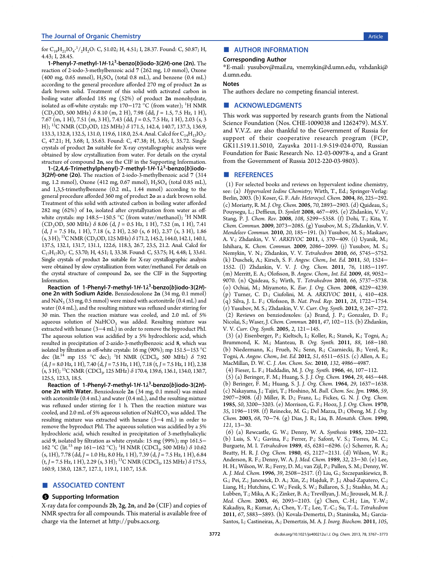<span id="page-5-0"></span>for  $C_{19}H_{21}IO_4$ <sup> $, 1/2H_2O$ : C, 51.02; H, 4.51; I, 28.37. Found: C, 50.87; H,</sup> 4.43; I, 28.45.

1-Phenyl-7-methyl-1H-1λ<sup>3</sup>-benzo[b]iodo-3(2H)-one (2n). The reaction of 2-iodo-3-methylbenzoic acid 7 (262 mg, 1.0 mmol), Oxone (400 mg, 0.65 mmol),  $H_2SO_4$  (total 0.8 mL), and benzene (0.4 mL) according to the general procedure afforded 270 mg of product 2n as dark brown solid. Treatment of this solid with activated carbon in boiling water afforded 185 mg (52%) of product 2n monohydrate, isolated as off-white crystals: mp 170−172 °C (from water); <sup>1</sup> H NMR  $(CD_3OD, 500 MHz) \delta 8.10 (m, 2 H), 7.98 (dd, J = 1.5, 7.5 Hz, 1 H),$ 7.67 (m, 1 H), 7.51 (m, 3 H), 7.43 (dd, J = 0.5, 7.5 Hz, 1 H), 2.03 (s, 3 H); <sup>13</sup>C NMR (CD<sub>3</sub>OD, 125 MHz)  $\delta$  171.5, 142.4, 140.7, 137.3, 136.9, 133.3, 132.8, 132.5, 131.0, 119.6, 118.0, 25.4. Anal. Calcd for  $C_{14}H_{13}IO_3$ : C, 47.21; H, 3.68; I, 35.63. Found: C, 47.38; H, 3.65; I, 35.72. Single crystals of product 2n suitable for X-ray crystallographic analysis were obtained by slow crystallization from water. For details on the crystal structure of compound 2n, see the CIF in the Supporting Information.

1-(2,4,6-Trimethylphenyl)-7-methyl-1H-1λ<sup>3</sup>-benzo[b]iodo-3(2H)-one (2o). The reaction of 2-iodo-3-methylbenzoic acid 7 (314 mg, 1.2 mmol), Oxone (412 mg, 0.67 mmol), H<sub>2</sub>SO<sub>4</sub> (total 0.85 mL), and 1,3,5-trimethylbenzene (0.2 mL, 1.44 mmol) according to the general procedure afforded 360 mg of product 2o as a dark brown solid. Treatment of this solid with activated carbon in boiling water afforded 282 mg (62%) of 1o, isolated after crystallyzation from water as offwhite crystals: mp 148.5−150.5 °C (from water/methanol); <sup>1</sup>H NMR  $(CD_3OD, 500 MHz)$  δ 8.06 (d, J = 0.5 Hz, 1 H), 7.52 (m, 1 H), 7.41  $(d, I = 7.5 \text{ Hz}, 1 \text{ H}), 7.18 (s, 2 \text{ H}), 2.50 (s, 6 \text{ H}), 2.37 (s, 3 \text{ H}), 1.86$  $(s, 3H)$ ; <sup>13</sup>C NMR (CD<sub>2</sub>OD, 125 MHz)  $\delta$  171.2, 145.2, 144.0, 142.1, 140.1, 137.5, 132.1, 131.7, 131.1, 122.6, 118.3, 26.7, 23.5, 21.2. Anal. Calcd for  $C_{17}H_{17}IO_2$ : C, 53.70; H, 4.51; I, 33.38. Found: C, 53.75; H, 4.48; I, 33.61. Single crystals of product 2o suitable for X-ray crystallographic analysis were obtained by slow crystallization from water/methanol. For details on the crystal structure of compound 2o, see the CIF in the Supporting Information.

Reaction of 1-Phenyl-7-methyl-1H-1 $\lambda^3$ -benzo[ $b$ ]iodo-3(2H)one 2n with Sodium Azide. Benziodoxolone 2n (34 mg, 0.1 mmol) and  $\text{NaN}_3$  (33 mg, 0.5 mmol) were mixed with acetonitrile (0.4 mL) and water (0.4 mL), and the resulting mixture was refluxed under stirring for 30 min. Then the reaction mixture was cooled, and 2.0 mL of 5% aqueous solution of  $NAHCO<sub>3</sub>$  was added. Resulting mixture was extracted with hexane (3−4 mL) in order to remove the byproduct PhI. The aqueous solution was acidified by a 5% hydrochloric acid, which resulted in precipitation of 2-azido-3-methylbenzoic acid 8, which was isolated by filtration as off-white crystals: 16 mg (90%); mp 151.5−153 °C dec (lit.<sup>[14](#page-6-0)</sup> mp 155 °C dec); <sup>1</sup>H NMR (CDCl<sub>3</sub>, 500 MHz)  $\delta$  7.92  $(d, J = 8.0 \text{ Hz}, 1 \text{ H}), 7.40 (d, J = 7.5 \text{ Hz}, 1 \text{ H}), 7.18 (t, J = 7.5 \text{ Hz}, 1 \text{ H}), 2.38$  $(s, 3 H)$ ; <sup>13</sup>C NMR (CDCl<sub>3</sub>, 125 MHz)  $\delta$  170.4, 139.6, 136.1, 134.0, 130.7, 125.5, 123.3, 18.5.

Reaction of 1-Phenyl-7-methyl-1H-1 $\lambda^3$ -benzo[ $b$ ]iodo-3(2H)one 2n with Water. Benziodoxole 2n (34 mg, 0.1 mmol) was mixed with acetonitrile (0.4 mL) and water (0.4 mL), and the resulting mixture was refluxed under stirring for 1 h. Then the reaction mixture was cooled, and 2.0 mL of 5% aqueous solution of NaHCO<sub>3</sub> was added. The resulting mixture was extracted with hexane (3−4 mL) in order to remove the byproduct PhI. The aqueous solution was acidified by a 5% hydrochloric acid, which resulted in precipitation of 3-methylsalicylic acid 9, isolated by filtration as white crystals: 15 mg (99%); mp 161.5− 162 °C (lit.<sup>[15](#page-6-0)</sup> mp 161–162 °C); <sup>1</sup>H NMR (CDCl<sub>3</sub>, 500 MHz) δ 10.62  $(s, 1H)$ , 7.78 (dd, J = 1.0 Hz, 8.0 Hz, 1 H), 7.39 (d, J = 7.5 Hz, 1 H), 6.84  $(t, J = 7.5 \text{ Hz}, 1 \text{ H})$ , 2.29 (s, 3 H); <sup>13</sup>C NMR (CDCl<sub>3</sub>, 125 MHz)  $\delta$  175.5, 160.9, 138.0, 128.7, 127.1, 119.1, 110.7, 15.8.

#### ■ ASSOCIATED CONTENT

#### **S** Supporting Information

X-ray data for compounds 2b, 2g, 2n, and 2o (CIF) and copies of NMR spectra for all compounds. This material is available free of charge via the Internet at [http://pubs.acs.org.](http://pubs.acs.org)

#### ■ AUTHOR INFORMATION

#### Corresponding Author

\*E-mail: [yusubov@mail.ru,](mailto:yusubov@mail.ru) [vnemykin@d.umn.edu,](mailto:vnemykin@d.umn.edu) [vzhdanki@](mailto:vzhdanki@d.umn.edu) [d.umn.edu](mailto:vzhdanki@d.umn.edu).

#### Notes

The authors declare no competing financial interest.

#### ■ ACKNOWLEDGMENTS

This work was supported by research grants from the National Science Foundation (Nos. CHE-1009038 and 1262479). M.S.Y. and V.V.Z. are also thankful to the Government of Russia for support of their cooperative research program (FCP, GK11.519.11.5010, Zayavka 2011-1.9-519-024-070, Russian Foundation for Basic Research No. 12-03-00978-a, and a Grant from the Government of Russia 2012-220-03-9803).

#### ■ REFERENCES

(1) For selected books and reviews on hypervalent iodine chemistry, see: (a) Hypervalent Iodine Chemistry; Wirth, T., Ed.; Springer-Verlag: Berlin, 2003. (b) Koser, G. F. Adv. Heterocycl. Chem. 2004, 86, 225−292. (c) Moriarty, R. M. J. Org. Chem. 2005, 70, 2893−2903. (d) Quideau, S.; Pouysegu, L.; Deffieux, D. Synlett 2008, 467−495. (e) Zhdankin, V. V.; Stang, P. J. Chem. Rev. 2008, 108, 5299−5358. (f) Dohi, T.; Kita, Y. Chem. Commun. 2009, 2073−2085. (g) Yusubov, M. S.; Zhdankin, V. V. Mendeleev Commun. 2010, 20, 185−191. (h) Yusubov, M. S.; Maskaev, A. V.; Zhdankin, V. V. ARKIVOC 2011, i, 370−409. (i) Uyanik, M.; Ishihara, K. Chem. Commun. 2009, 2086−2099. (j) Yusubov, M. S.; Nemykin, V. N.; Zhdankin, V. V. Tetrahedron 2010, 66, 5745−5752. (k) Duschek, A.; Kirsch, S. F. Angew. Chem., Int. Ed. 2011, 50, 1524− 1552. (l) Zhdankin, V. V. J. Org. Chem. 2011, 76, 1185−1197. (m) Merritt, E. A.; Olofsson, B. Angew. Chem., Int. Ed. 2009, 48, 9052− 9070. (n) Quideau, S.; Wirth, T. Tetrahedron 2010, 66, 5737−5738. (o) Ochiai, M.; Miyamoto, K. Eur. J. Org. Chem. 2008, 4229−4239. (p) Turner, C. D.; Ciufolini, M. A. ARKIVOC 2011, i, 410−428. (q) Silva, J. L. F.; Olofsson, B. Nat. Prod. Rep. 2011, 28, 1722−1754. (r) Yusubov, M. S.; Zhdankin, V. V. Curr. Org. Synth. 2012, 9, 247−272. (2) Reviews on benziodoxoles: (a) Brand, J. P.; Gonzalez, D. F.; Nicolai, S.; Waser, J. Chem. Commun. 2011, 47, 102−115. (b) Zhdankin, V. V. Curr. Org. Synth. 2005, 2, 121−145.

(3) (a) Eisenberger, P.; Kieltsch, I.; Koller, R.; Stanek, K.; Togni, A.; Brummond, K. M.; Manteau, B. Org. Synth. 2011, 88, 168−180. (b) Niedermann, K.; Frueh, N.; Senn, R.; Czarniecki, B.; Verel, R.; Togni, A. Angew. Chem., Int. Ed. 2012, 51, 6511−6515. (c) Allen, A. E.; MacMillan, D. W. C. J. Am. Chem. Soc. 2010, 132, 4986−4987.

(4) Fieser, L. F.; Haddadin, M. J. Org. Synth. 1966, 46, 107−112.

(5) (a) Beringer, F. M.; Huang, S. J. J. Org. Chem. 1964, 29, 445−448. (b) Beringer, F. M.; Huang, S. J. J. Org. Chem. 1964, 29, 1637−1638. (c) Nakayama, J.; Tajiri, T.; Hoshino, M. Bull. Chem. Soc. Jpn. 1986, 59, 2907−2908. (d) Miller, R. D.; Franz, L.; Fickes, G. N. J. Org. Chem. 1985, 50, 3200−3203. (e) Morrison, G. F.; Hooz, J. J. Org. Chem. 1970, 35, 1196−1198. (f) Reinecke, M. G.; Del Mazza, D.; Obeng, M. J. Org. Chem. 2003, 68, 70−74. (g) Dias, J. R.; Liu, B. Monatsh. Chem. 1990, 121, 13−30.

(6) (a) Rewcastle, G. W.; Denny, W. A. Synthesis 1985, 220−222. (b) Luis, S. V.; Gavina, F.; Ferrer, P.; Safont, V. S.; Torres, M. C.; Burguete, M. I. Tetrahedron 1989, 45, 6281−6296. (c) Scherrer, R. A.; Beatty, H. R. J. Org. Chem. 1980, 45, 2127−2131. (d) Wilson, W. R.; Anderson, R. F.; Denny, W. A. J. Med. Chem. 1989, 32, 23−30. (e) Lee, H. H.; Wilson, W. R.; Ferry, D. M.; van Zijl, P.; Pullen, S. M.; Denny, W. A. J. Med. Chem. 1996, 39, 2508−2517. (f) Liu, G.; Szczepankiewicz, B. G.; Pei, Z.; Janowick, D. A.; Xin, Z.; Hajduk, P. J.; Abad-Zapatero, C.; Liang, H.; Hutchins, C. W.; Fesik, S. W.; Ballaron, S. J.; Stashko, M. A.; Lubben, T.; Mika, A. K.; Zinker, B. A.; Trevillyan, J. M.; Jirousek, M. R. J. Med. Chem. 2003, 46, 2093−2103. (g) Chen, C.-H.; Lin, Y.-W.; Kakadiya, R.; Kumar, A.; Chen, Y.-T.; Lee, T.-C.; Su, T.-L. Tetrahedron 2011, 67, 5883−5893. (h) Kovala-Demertzi, D.; Staninska, M.; Garcia-Santos, I.; Castineiras, A.; Demertzis, M. A. J. Inorg. Biochem. 2011, 105,